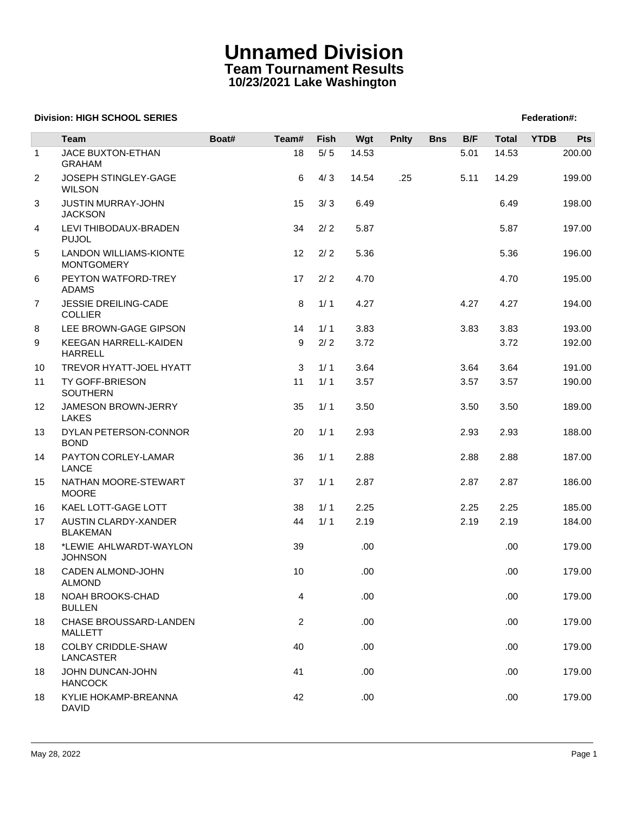## **Unnamed Division Team Tournament Results 10/23/2021 Lake Washington**

## **Division: HIGH SCHOOL SERIES** Federation And The SCHOOL SERIES Federation And The SCHOOL SERIES Federation And The SCHOOL SERIES FEDERATION AND THE SCHOOL SERIES FEDERATION AND THE SCHOOL SERIES FEDERATION AND THE SCHOOL

|                | <b>Team</b>                                        | Boat# | Team#          | Fish  | Wgt   | <b>Pnlty</b> | <b>Bns</b> | B/F  | <b>Total</b> | <b>YTDB</b> | Pts    |
|----------------|----------------------------------------------------|-------|----------------|-------|-------|--------------|------------|------|--------------|-------------|--------|
| $\mathbf{1}$   | JACE BUXTON-ETHAN                                  |       | 18             | $5/5$ | 14.53 |              |            | 5.01 | 14.53        |             | 200.00 |
|                | <b>GRAHAM</b>                                      |       |                |       |       |              |            |      |              |             |        |
| $\overline{c}$ | JOSEPH STINGLEY-GAGE<br><b>WILSON</b>              |       | 6              | 4/3   | 14.54 | .25          |            | 5.11 | 14.29        |             | 199.00 |
| 3              | <b>JUSTIN MURRAY-JOHN</b><br><b>JACKSON</b>        |       | 15             | 3/3   | 6.49  |              |            |      | 6.49         |             | 198.00 |
| 4              | LEVI THIBODAUX-BRADEN<br><b>PUJOL</b>              |       | 34             | 2/2   | 5.87  |              |            |      | 5.87         |             | 197.00 |
| 5              | <b>LANDON WILLIAMS-KIONTE</b><br><b>MONTGOMERY</b> |       | 12             | 2/2   | 5.36  |              |            |      | 5.36         |             | 196.00 |
| 6              | PEYTON WATFORD-TREY<br><b>ADAMS</b>                |       | 17             | 2/2   | 4.70  |              |            |      | 4.70         |             | 195.00 |
| 7              | <b>JESSIE DREILING-CADE</b><br><b>COLLIER</b>      |       | 8              | 1/1   | 4.27  |              |            | 4.27 | 4.27         |             | 194.00 |
| 8              | LEE BROWN-GAGE GIPSON                              |       | 14             | 1/1   | 3.83  |              |            | 3.83 | 3.83         |             | 193.00 |
| 9              | KEEGAN HARRELL-KAIDEN<br><b>HARRELL</b>            |       | 9              | 2/2   | 3.72  |              |            |      | 3.72         |             | 192.00 |
| 10             | TREVOR HYATT-JOEL HYATT                            |       | 3              | 1/1   | 3.64  |              |            | 3.64 | 3.64         |             | 191.00 |
| 11             | TY GOFF-BRIESON<br><b>SOUTHERN</b>                 |       | 11             | 1/1   | 3.57  |              |            | 3.57 | 3.57         |             | 190.00 |
| 12             | JAMESON BROWN-JERRY<br><b>LAKES</b>                |       | 35             | 1/1   | 3.50  |              |            | 3.50 | 3.50         |             | 189.00 |
| 13             | DYLAN PETERSON-CONNOR<br><b>BOND</b>               |       | 20             | 1/1   | 2.93  |              |            | 2.93 | 2.93         |             | 188.00 |
| 14             | PAYTON CORLEY-LAMAR<br>LANCE                       |       | 36             | 1/1   | 2.88  |              |            | 2.88 | 2.88         |             | 187.00 |
| 15             | NATHAN MOORE-STEWART<br><b>MOORE</b>               |       | 37             | 1/1   | 2.87  |              |            | 2.87 | 2.87         |             | 186.00 |
| 16             | KAEL LOTT-GAGE LOTT                                |       | 38             | 1/1   | 2.25  |              |            | 2.25 | 2.25         |             | 185.00 |
| 17             | AUSTIN CLARDY-XANDER<br><b>BLAKEMAN</b>            |       | 44             | 1/1   | 2.19  |              |            | 2.19 | 2.19         |             | 184.00 |
| 18             | *LEWIE AHLWARDT-WAYLON<br><b>JOHNSON</b>           |       | 39             |       | .00   |              |            |      | .00.         |             | 179.00 |
| 18             | CADEN ALMOND-JOHN<br><b>ALMOND</b>                 |       | 10             |       | .00   |              |            |      | .00.         |             | 179.00 |
| 18             | NOAH BROOKS-CHAD<br><b>BULLEN</b>                  |       | 4              |       | .00   |              |            |      | .00.         |             | 179.00 |
| 18             | CHASE BROUSSARD-LANDEN<br><b>MALLETT</b>           |       | $\overline{c}$ |       | .00   |              |            |      | .00.         |             | 179.00 |
| 18             | COLBY CRIDDLE-SHAW<br>LANCASTER                    |       | 40             |       | .00   |              |            |      | .00.         |             | 179.00 |
| 18             | JOHN DUNCAN-JOHN<br><b>HANCOCK</b>                 |       | 41             |       | .00   |              |            |      | .00.         |             | 179.00 |
| 18             | KYLIE HOKAMP-BREANNA<br><b>DAVID</b>               |       | 42             |       | .00.  |              |            |      | .00.         |             | 179.00 |